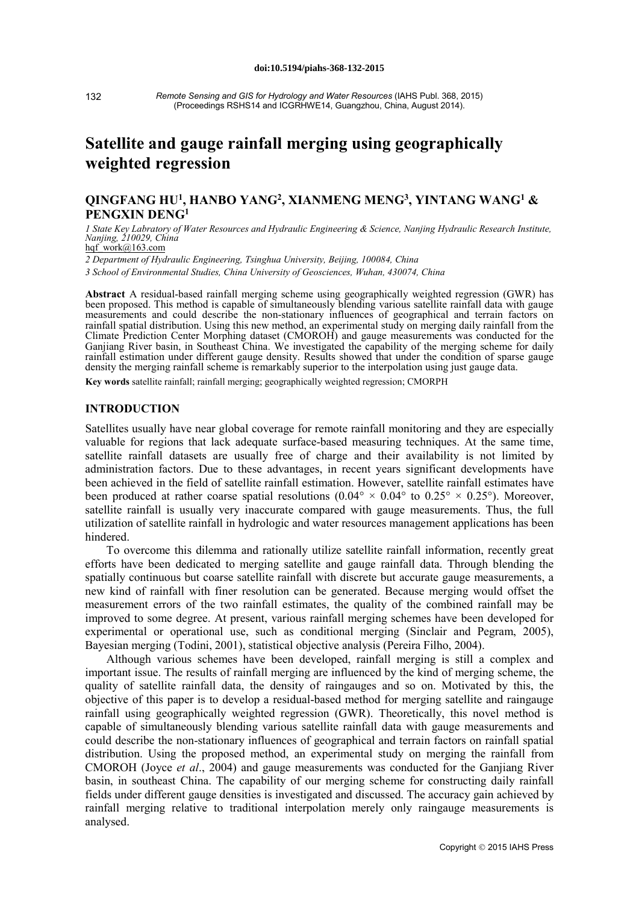132

*Remote Sensing and GIS for Hydrology and Water Resources* (IAHS Publ. 368, 2015) (Proceedings RSHS14 and ICGRHWE14, Guangzhou, China, August 2014).

# **Satellite and gauge rainfall merging using geographically weighted regression**

# **QINGFANG HU1, HANBO YANG2, XIANMENG MENG3, YINTANG WANG1 & PENGXIN DENG1**

1 State Key Labratory of Water Resources and Hydraulic Engineering & Science, Nanjing Hydraulic Research Institute, *Nanjing, 210029, China* hqf\_work@163.com

*2 Department of Hydraulic Engineering, Tsinghua University, Beijing, 100084, China*

*3 School of Environmental Studies, China University of Geosciences, Wuhan, 430074, China*

**Abstract** A residual-based rainfall merging scheme using geographically weighted regression (GWR) has been proposed. This method is capable of simultaneously blending various satellite rainfall data with gauge measurements and could describe the non-stationary influences of geographical and terrain factors on rainfall spatial distribution. Using this new method, an experimental study on merging daily rainfall from the Climate Prediction Center Morphing dataset (CMOROH) and gauge measurements was conducted for the Ganjiang River basin, in Southeast China. We investigated the capability of the merging scheme for daily rainfall estimation under different gauge density. Results showed that under the condition of sparse gauge density the merging rainfall scheme is remarkably superior to the interpolation using just gauge data.

**Key words** satellite rainfall; rainfall merging; geographically weighted regression; CMORPH

# **INTRODUCTION**

Satellites usually have near global coverage for remote rainfall monitoring and they are especially valuable for regions that lack adequate surface-based measuring techniques. At the same time, satellite rainfall datasets are usually free of charge and their availability is not limited by administration factors. Due to these advantages, in recent years significant developments have been achieved in the field of satellite rainfall estimation. However, satellite rainfall estimates have been produced at rather coarse spatial resolutions  $(0.04^{\circ} \times 0.04^{\circ}$  to  $0.25^{\circ} \times 0.25^{\circ})$ . Moreover, satellite rainfall is usually very inaccurate compared with gauge measurements. Thus, the full utilization of satellite rainfall in hydrologic and water resources management applications has been hindered.

To overcome this dilemma and rationally utilize satellite rainfall information, recently great efforts have been dedicated to merging satellite and gauge rainfall data. Through blending the spatially continuous but coarse satellite rainfall with discrete but accurate gauge measurements, a new kind of rainfall with finer resolution can be generated. Because merging would offset the measurement errors of the two rainfall estimates, the quality of the combined rainfall may be improved to some degree. At present, various rainfall merging schemes have been developed for experimental or operational use, such as conditional merging (Sinclair and Pegram, 2005), Bayesian merging (Todini, 2001), statistical objective analysis (Pereira Filho, 2004).

Although various schemes have been developed, rainfall merging is still a complex and important issue. The results of rainfall merging are influenced by the kind of merging scheme, the quality of satellite rainfall data, the density of raingauges and so on. Motivated by this, the objective of this paper is to develop a residual-based method for merging satellite and raingauge rainfall using geographically weighted regression (GWR). Theoretically, this novel method is capable of simultaneously blending various satellite rainfall data with gauge measurements and could describe the non-stationary influences of geographical and terrain factors on rainfall spatial distribution. Using the proposed method, an experimental study on merging the rainfall from CMOROH (Joyce *et al*., 2004) and gauge measurements was conducted for the Ganjiang River basin, in southeast China. The capability of our merging scheme for constructing daily rainfall fields under different gauge densities is investigated and discussed. The accuracy gain achieved by rainfall merging relative to traditional interpolation merely only raingauge measurements is analysed.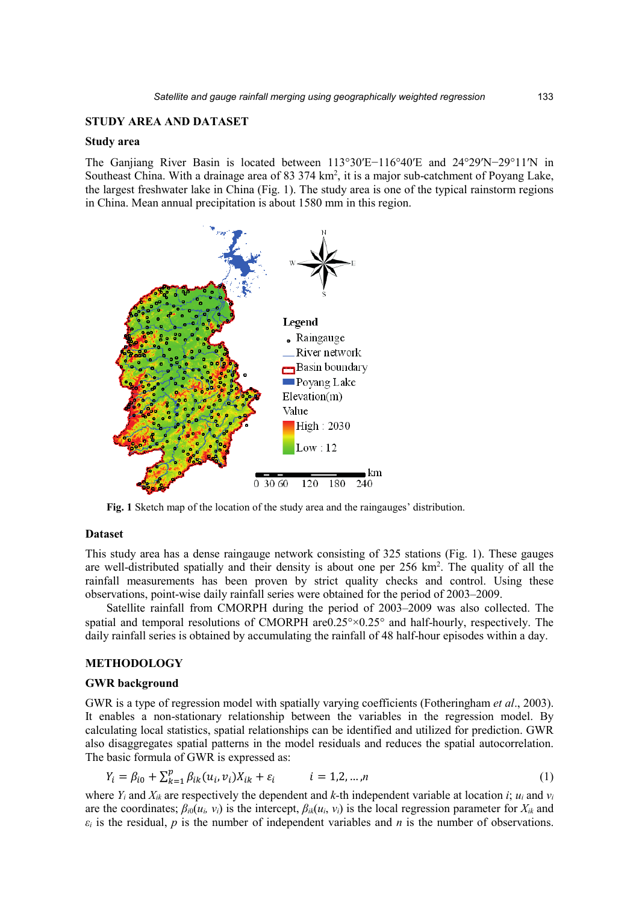# **STUDY AREA AND DATASET**

# **Study area**

The Ganjiang River Basin is located between 113°30′E−116°40′E and 24°29′N−29°11′N in Southeast China. With a drainage area of 83 374 km<sup>2</sup>, it is a major sub-catchment of Poyang Lake, the largest freshwater lake in China (Fig. 1). The study area is one of the typical rainstorm regions in China. Mean annual precipitation is about 1580 mm in this region.



**Fig. 1** Sketch map of the location of the study area and the raingauges' distribution.

# **Dataset**

This study area has a dense raingauge network consisting of 325 stations (Fig. 1). These gauges are well-distributed spatially and their density is about one per  $256 \text{ km}^2$ . The quality of all the rainfall measurements has been proven by strict quality checks and control. Using these observations, point-wise daily rainfall series were obtained for the period of 2003–2009.

Satellite rainfall from CMORPH during the period of 2003–2009 was also collected. The spatial and temporal resolutions of CMORPH are  $0.25^{\circ} \times 0.25^{\circ}$  and half-hourly, respectively. The daily rainfall series is obtained by accumulating the rainfall of 48 half-hour episodes within a day.

# **METHODOLOGY**

#### **GWR background**

GWR is a type of regression model with spatially varying coefficients (Fotheringham *et al*., 2003). It enables a non-stationary relationship between the variables in the regression model. By calculating local statistics, spatial relationships can be identified and utilized for prediction. GWR also disaggregates spatial patterns in the model residuals and reduces the spatial autocorrelation. The basic formula of GWR is expressed as:

$$
Y_i = \beta_{i0} + \sum_{k=1}^p \beta_{ik} (u_i, v_i) X_{ik} + \varepsilon_i \qquad i = 1, 2, ..., n
$$
 (1)

where  $Y_i$  and  $X_{ik}$  are respectively the dependent and  $k$ -th independent variable at location  $i$ ;  $u_i$  and  $v_i$ are the coordinates;  $\beta_{i0}(u_i, v_i)$  is the intercept,  $\beta_{ik}(u_i, v_i)$  is the local regression parameter for  $X_{ik}$  and  $\varepsilon_i$  is the residual, *p* is the number of independent variables and *n* is the number of observations.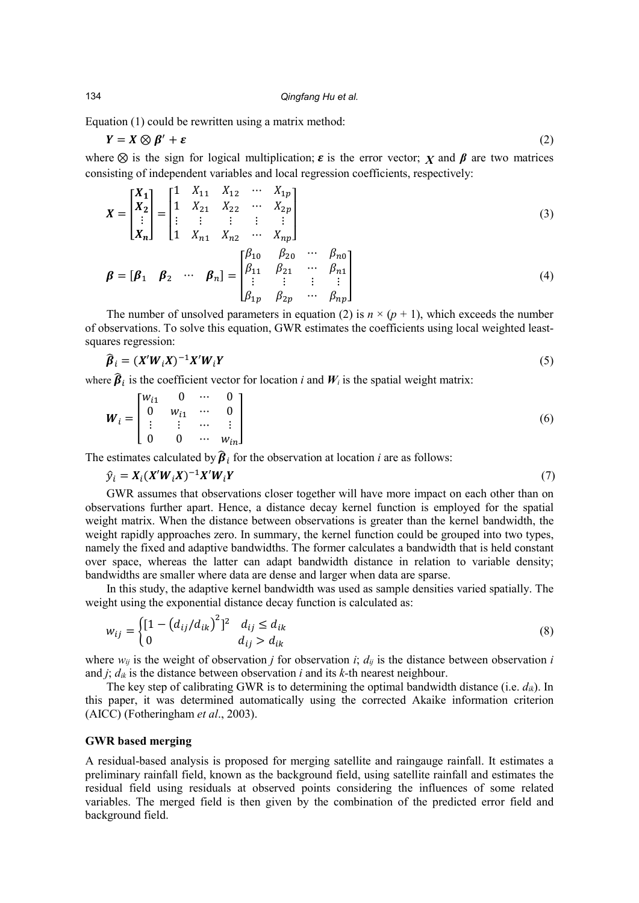Equation (1) could be rewritten using a matrix method:

$$
Y = X \otimes \beta' + \varepsilon \tag{2}
$$

where  $\otimes$  is the sign for logical multiplication;  $\varepsilon$  is the error vector; *X* and  $\beta$  are two matrices consisting of independent variables and local regression coefficients, respectively:

$$
X = \begin{bmatrix} X_1 \\ X_2 \\ \vdots \\ X_n \end{bmatrix} = \begin{bmatrix} 1 & X_{11} & X_{12} & \cdots & X_{1p} \\ 1 & X_{21} & X_{22} & \cdots & X_{2p} \\ \vdots & \vdots & \vdots & \vdots & \vdots \\ 1 & X_{n1} & X_{n2} & \cdots & X_{np} \end{bmatrix}
$$
(3)

$$
\boldsymbol{\beta} = [\boldsymbol{\beta}_1 \quad \boldsymbol{\beta}_2 \quad \cdots \quad \boldsymbol{\beta}_n] = \begin{bmatrix} \beta_{10} & \beta_{20} & \cdots & \beta_{n0} \\ \beta_{11} & \beta_{21} & \cdots & \beta_{n1} \\ \vdots & \vdots & \vdots & \vdots \\ \beta_{1p} & \beta_{2p} & \cdots & \beta_{np} \end{bmatrix}
$$
(4)

The number of unsolved parameters in equation (2) is  $n \times (p + 1)$ , which exceeds the number of observations. To solve this equation, GWR estimates the coefficients using local weighted leastsquares regression:

$$
\widehat{\beta}_i = (X'W_iX)^{-1}X'W_iY
$$
\n<sup>(5)</sup>

where  $\hat{\boldsymbol{\beta}}_i$  is the coefficient vector for location *i* and  $W_i$  is the spatial weight matrix:

$$
\boldsymbol{W}_{i} = \begin{bmatrix} w_{i1} & 0 & \cdots & 0 \\ 0 & w_{i1} & \cdots & 0 \\ \vdots & \vdots & \cdots & \vdots \\ 0 & 0 & \cdots & w_{in} \end{bmatrix}
$$
 (6)

The estimates calculated by  $\beta_i$  for the observation at location *i* are as follows:

$$
\hat{y}_i = X_i (X' W_i X)^{-1} X' W_i Y \tag{7}
$$

GWR assumes that observations closer together will have more impact on each other than on observations further apart. Hence, a distance decay kernel function is employed for the spatial weight matrix. When the distance between observations is greater than the kernel bandwidth, the weight rapidly approaches zero. In summary, the kernel function could be grouped into two types, namely the fixed and adaptive bandwidths. The former calculates a bandwidth that is held constant over space, whereas the latter can adapt bandwidth distance in relation to variable density; bandwidths are smaller where data are dense and larger when data are sparse.

In this study, the adaptive kernel bandwidth was used as sample densities varied spatially. The weight using the exponential distance decay function is calculated as:

$$
w_{ij} = \begin{cases} [1 - (d_{ij}/d_{ik})^2]^2 & d_{ij} \le d_{ik} \\ 0 & d_{ij} > d_{ik} \end{cases}
$$
 (8)

where  $w_{ij}$  is the weight of observation *j* for observation *i*;  $d_{ij}$  is the distance between observation *i* and *j*; *dik* is the distance between observation *i* and its *k-*th nearest neighbour.

The key step of calibrating GWR is to determining the optimal bandwidth distance (i.e. *dik*). In this paper, it was determined automatically using the corrected Akaike information criterion (AICC) (Fotheringham *et al*., 2003).

# **GWR based merging**

A residual-based analysis is proposed for merging satellite and raingauge rainfall. It estimates a preliminary rainfall field, known as the background field, using satellite rainfall and estimates the residual field using residuals at observed points considering the influences of some related variables. The merged field is then given by the combination of the predicted error field and background field.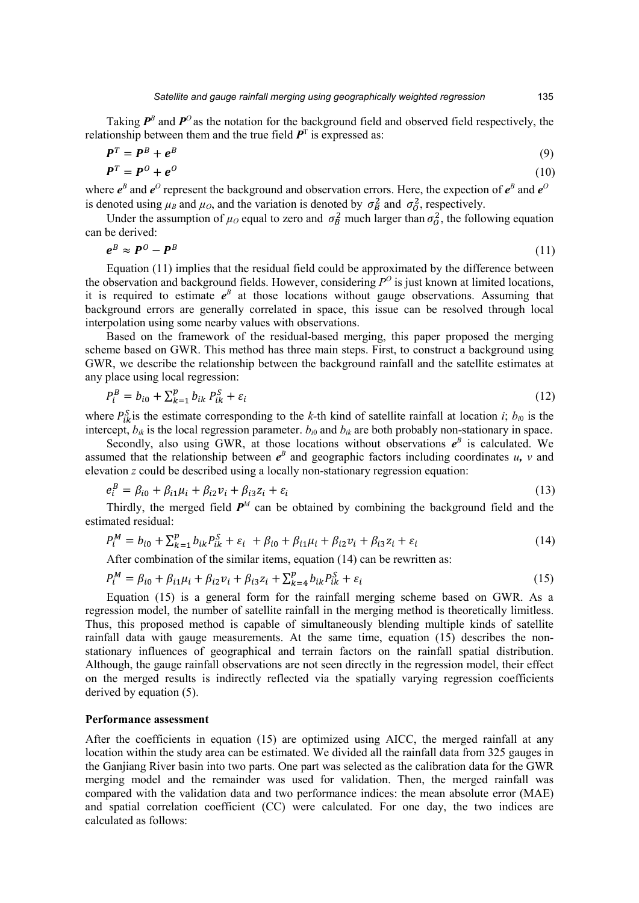Taking  $P^B$  and  $P^O$  as the notation for the background field and observed field respectively, the relationship between them and the true field  $P<sup>T</sup>$  is expressed as:

$$
\mathbf{P}^T = \mathbf{P}^B + \mathbf{e}^B \tag{9}
$$
\n
$$
\mathbf{P}^T = \mathbf{P}^O + \mathbf{e}^O \tag{10}
$$

where  $e^B$  and  $e^O$  represent the background and observation errors. Here, the expection of  $e^B$  and  $e^O$ is denoted using  $\mu_B$  and  $\mu_O$ , and the variation is denoted by  $\sigma_B^2$  and  $\sigma_O^2$ , respectively.

Under the assumption of  $\mu_0$  equal to zero and  $\sigma_B^2$  much larger than  $\sigma_0^2$ , the following equation can be derived:

$$
e^B \approx P^0 - P^B \tag{11}
$$

Equation (11) implies that the residual field could be approximated by the difference between the observation and background fields. However, considering  $P^O$  is just known at limited locations, it is required to estimate  $e^B$  at those locations without gauge observations. Assuming that background errors are generally correlated in space, this issue can be resolved through local interpolation using some nearby values with observations.

Based on the framework of the residual-based merging, this paper proposed the merging scheme based on GWR. This method has three main steps. First, to construct a background using GWR, we describe the relationship between the background rainfall and the satellite estimates at any place using local regression:

$$
P_i^B = b_{i0} + \sum_{k=1}^p b_{ik} P_{ik}^S + \varepsilon_i
$$
 (12)

where  $P_{ik}^{S}$  is the estimate corresponding to the *k*-th kind of satellite rainfall at location *i*;  $b_{i0}$  is the intercept,  $b_{ik}$  is the local regression parameter.  $b_{i0}$  and  $b_{ik}$  are both probably non-stationary in space.

Secondly, also using GWR, at those locations without observations  $e^B$  is calculated. We assumed that the relationship between  $e^B$  and geographic factors including coordinates *u*, *v* and elevation *z* could be described using a locally non-stationary regression equation:

$$
e_i^B = \beta_{i0} + \beta_{i1}\mu_i + \beta_{i2}\nu_i + \beta_{i3}z_i + \varepsilon_i
$$
\n(13)

Thirdly, the merged field  $P^M$  can be obtained by combining the background field and the estimated residual:

$$
P_i^M = b_{i0} + \sum_{k=1}^p b_{ik} P_{ik}^S + \varepsilon_i + \beta_{i0} + \beta_{i1} \mu_i + \beta_{i2} \nu_i + \beta_{i3} z_i + \varepsilon_i
$$
 (14)

After combination of the similar items, equation (14) can be rewritten as:

$$
P_i^M = \beta_{i0} + \beta_{i1}\mu_i + \beta_{i2}\nu_i + \beta_{i3}z_i + \sum_{k=4}^p b_{ik}P_{ik}^S + \varepsilon_i
$$
\n(15)

Equation (15) is a general form for the rainfall merging scheme based on GWR. As a regression model, the number of satellite rainfall in the merging method is theoretically limitless. Thus, this proposed method is capable of simultaneously blending multiple kinds of satellite rainfall data with gauge measurements. At the same time, equation (15) describes the nonstationary influences of geographical and terrain factors on the rainfall spatial distribution. Although, the gauge rainfall observations are not seen directly in the regression model, their effect on the merged results is indirectly reflected via the spatially varying regression coefficients derived by equation (5).

# **Performance assessment**

After the coefficients in equation (15) are optimized using AICC, the merged rainfall at any location within the study area can be estimated. We divided all the rainfall data from 325 gauges in the Ganjiang River basin into two parts. One part was selected as the calibration data for the GWR merging model and the remainder was used for validation. Then, the merged rainfall was compared with the validation data and two performance indices: the mean absolute error (MAE) and spatial correlation coefficient (CC) were calculated. For one day, the two indices are calculated as follows: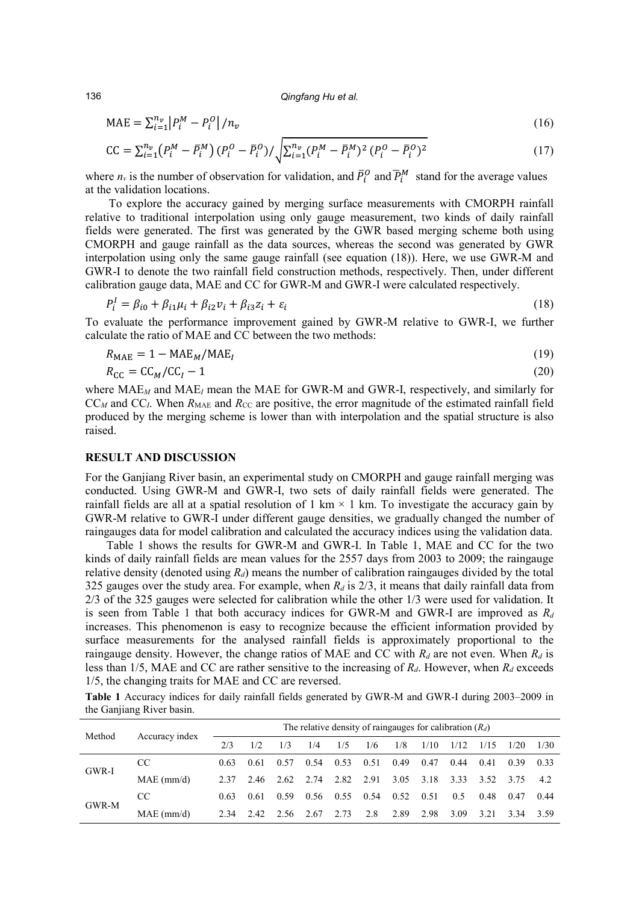136 *Qingfang Hu et al.*

$$
MAE = \sum_{i=1}^{n_v} |P_i^M - P_i^O| / n_v
$$
 (16)

$$
CC = \sum_{i=1}^{n_v} (P_i^M - \bar{P}_i^M) (P_i^O - \bar{P}_i^O) / \sqrt{\sum_{i=1}^{n_v} (P_i^M - \bar{P}_i^M)^2 (P_i^O - \bar{P}_i^O)^2}
$$
(17)

where  $n_v$  is the number of observation for validation, and  $P_l^0$  and  $P_l^M$  stand for the average values at the validation locations.

To explore the accuracy gained by merging surface measurements with CMORPH rainfall relative to traditional interpolation using only gauge measurement, two kinds of daily rainfall fields were generated. The first was generated by the GWR based merging scheme both using CMORPH and gauge rainfall as the data sources, whereas the second was generated by GWR interpolation using only the same gauge rainfall (see equation (18)). Here, we use GWR-M and GWR-I to denote the two rainfall field construction methods, respectively. Then, under different calibration gauge data, MAE and CC for GWR-M and GWR-I were calculated respectively.

$$
P_i^I = \beta_{i0} + \beta_{i1}\mu_i + \beta_{i2}\nu_i + \beta_{i3}z_i + \varepsilon_i
$$
\n(18)

To evaluate the performance improvement gained by GWR-M relative to GWR-I, we further calculate the ratio of MAE and CC between the two methods:

$$
R_{\text{MAE}} = 1 - \text{MAE}_M / \text{MAE}_I \tag{19}
$$

$$
R_{\rm CC} = C C_M / C C_I - 1 \tag{20}
$$

where MAE*<sup>M</sup>* and MAE*<sup>I</sup>* mean the MAE for GWR-M and GWR-I, respectively, and similarly for  $CC_M$  and  $CC_I$ . When  $R_{\text{MAE}}$  and  $R_{\text{CC}}$  are positive, the error magnitude of the estimated rainfall field produced by the merging scheme is lower than with interpolation and the spatial structure is also raised.

# **RESULT AND DISCUSSION**

For the Ganjiang River basin, an experimental study on CMORPH and gauge rainfall merging was conducted. Using GWR-M and GWR-I, two sets of daily rainfall fields were generated. The rainfall fields are all at a spatial resolution of 1 km  $\times$  1 km. To investigate the accuracy gain by GWR-M relative to GWR-I under different gauge densities, we gradually changed the number of raingauges data for model calibration and calculated the accuracy indices using the validation data.

Table 1 shows the results for GWR-M and GWR-I. In Table 1, MAE and CC for the two kinds of daily rainfall fields are mean values for the 2557 days from 2003 to 2009; the raingauge relative density (denoted using  $R_d$ ) means the number of calibration raingauges divided by the total 325 gauges over the study area. For example, when  $R_d$  is  $2/3$ , it means that daily rainfall data from 2/3 of the 325 gauges were selected for calibration while the other 1/3 were used for validation. It is seen from Table 1 that both accuracy indices for GWR-M and GWR-I are improved as  $R_d$ increases. This phenomenon is easy to recognize because the efficient information provided by surface measurements for the analysed rainfall fields is approximately proportional to the raingauge density. However, the change ratios of MAE and CC with  $R_d$  are not even. When  $R_d$  is less than 1/5, MAE and CC are rather sensitive to the increasing of  $R_d$ . However, when  $R_d$  exceeds 1/5, the changing traits for MAE and CC are reversed.

**Table 1** Accuracy indices for daily rainfall fields generated by GWR-M and GWR-I during 2003–2009 in the Ganjiang River basin.

| Method | Accuracy index | The relative density of raingauges for calibration $(R_d)$ |      |      |      |      |      |      |      |      |       |      |      |
|--------|----------------|------------------------------------------------------------|------|------|------|------|------|------|------|------|-------|------|------|
|        |                | 2/3                                                        | 1/2  | 1/3  | 1/4  | 1/5  | 1/6  | 1/8  | 1/10 | 1/12 | 1/15  | 1/20 | 1/30 |
| GWR-I  | CC.            | 0.63                                                       | 0.61 | 0.57 | 0.54 | 0.53 | 0.51 | 0.49 | 0.47 | 0.44 | 0.41  | 0.39 | 0.33 |
|        | $MAE$ (mm/d)   | 2.37                                                       | 2.46 | 2.62 | 2.74 | 2.82 | 2.91 | 3.05 | 3.18 | 3.33 | 3.52  | 3.75 | 42   |
| GWR-M  | CC.            | 0.63                                                       | 0.61 | 0.59 | 0.56 | 0.55 | 0.54 | 0.52 | 0.51 | 0.5  | 0.48  | 0.47 | 0.44 |
|        | $MAE$ (mm/d)   | 2.34                                                       | 2.42 | 2.56 | 2.67 | 2.73 | 2.8  | 2.89 | 2.98 | 3.09 | 3 2 1 | 3.34 | 3.59 |